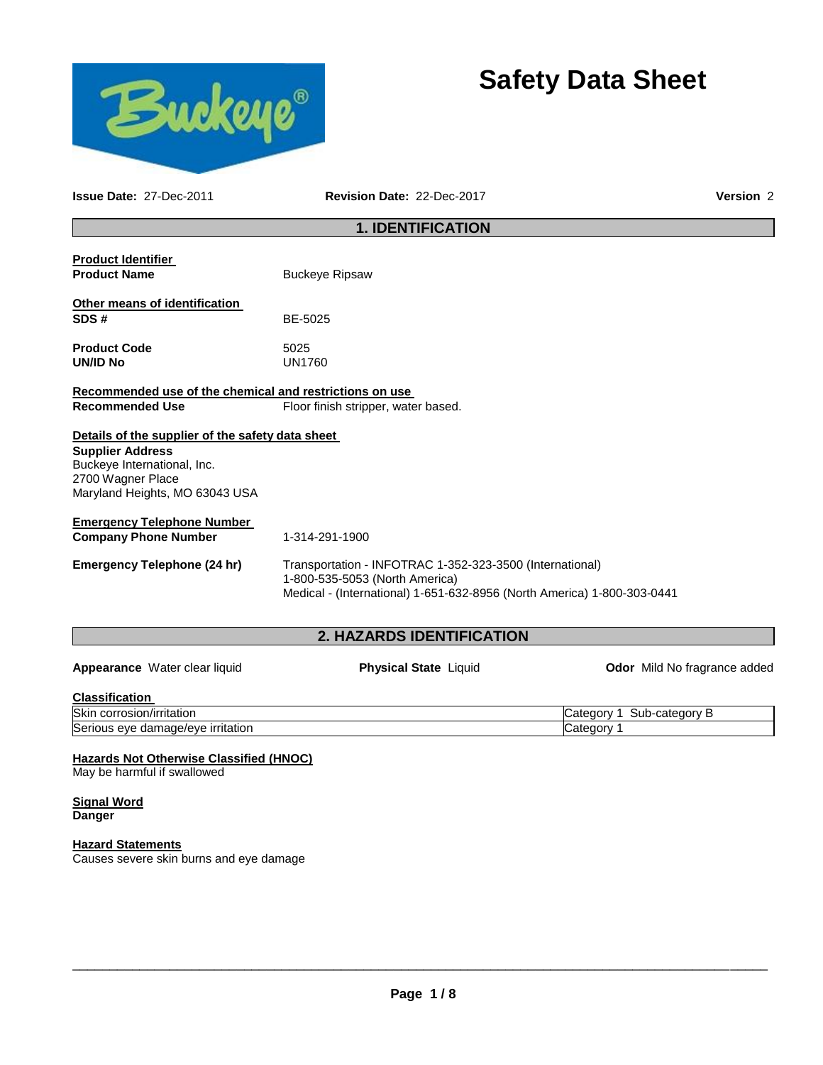



**Issue Date:** 27-Dec-2011 **Revision Date:** 22-Dec-2017 **Version** 2

# **1. IDENTIFICATION**

| <b>Product Identifier</b><br><b>Product Name</b>                                                              | <b>Buckeye Ripsaw</b>                                                                                                                                                 |
|---------------------------------------------------------------------------------------------------------------|-----------------------------------------------------------------------------------------------------------------------------------------------------------------------|
| <b>Other means of identification</b><br>SDS#                                                                  | BE-5025                                                                                                                                                               |
| <b>Product Code</b><br>UN/ID No                                                                               | 5025<br><b>UN1760</b>                                                                                                                                                 |
| Recommended use of the chemical and restrictions on use                                                       |                                                                                                                                                                       |
| <b>Recommended Use</b>                                                                                        | Floor finish stripper, water based.                                                                                                                                   |
| Details of the supplier of the safety data sheet                                                              |                                                                                                                                                                       |
| <b>Supplier Address</b><br>Buckeye International, Inc.<br>2700 Wagner Place<br>Maryland Heights, MO 63043 USA |                                                                                                                                                                       |
| <b>Emergency Telephone Number</b>                                                                             |                                                                                                                                                                       |
| <b>Company Phone Number</b>                                                                                   | 1-314-291-1900                                                                                                                                                        |
| <b>Emergency Telephone (24 hr)</b>                                                                            | Transportation - INFOTRAC 1-352-323-3500 (International)<br>1-800-535-5053 (North America)<br>Medical - (International) 1-651-632-8956 (North America) 1-800-303-0441 |

# **2. HAZARDS IDENTIFICATION**

**Appearance** Water clear liquid **Physical State** Liquid **Odor** Mild No fragrance added

#### **Classification**

| -----------------                                                 |                                                |
|-------------------------------------------------------------------|------------------------------------------------|
| <b>Skin</b><br>n/irritation<br>c<br>corrosion <sup>7</sup>        | $\gamma$ orv $\sim$<br>~~<br>Sur<br>.atec<br>v |
| Seric<br>nage/eve<br>∍ırritation<br>eve<br>. I I C<br>uar<br>,,,, | וטנ<br>v                                       |

## **Hazards Not Otherwise Classified (HNOC)**

May be harmful if swallowed

#### **Signal Word Danger**

# **Hazard Statements**

Causes severe skin burns and eye damage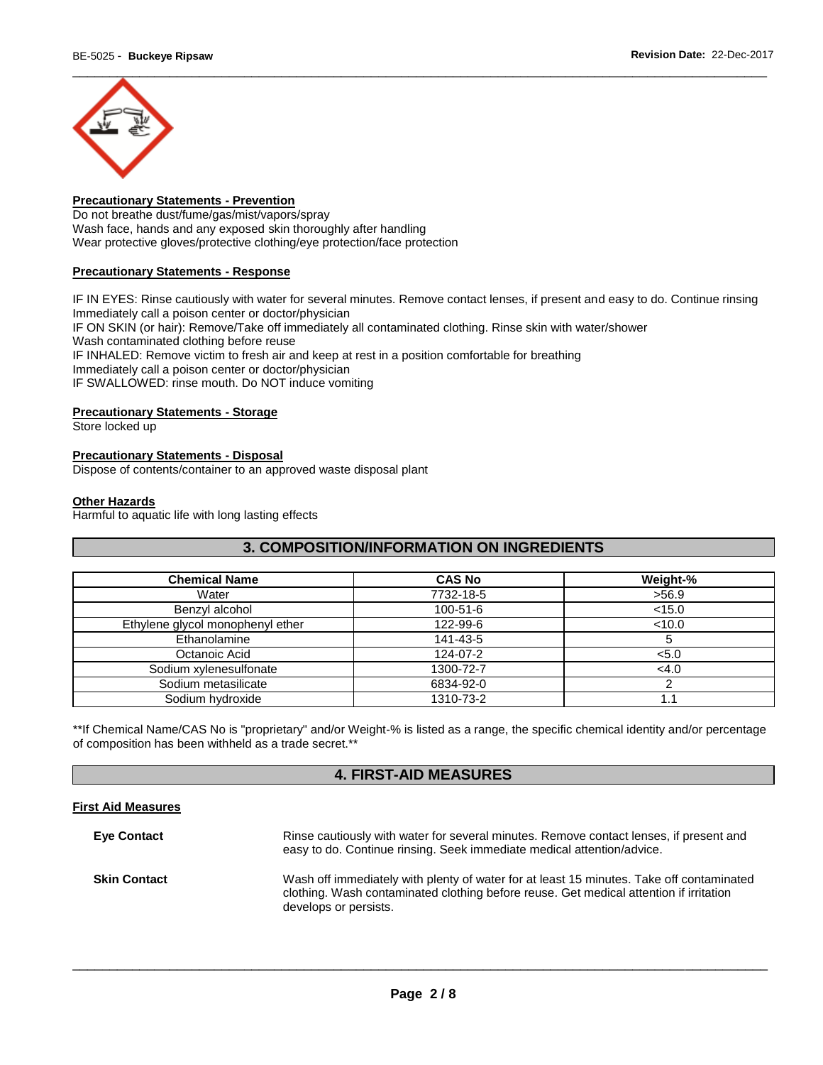

# **Precautionary Statements - Prevention**

Do not breathe dust/fume/gas/mist/vapors/spray Wash face, hands and any exposed skin thoroughly after handling Wear protective gloves/protective clothing/eye protection/face protection

#### **Precautionary Statements - Response**

IF IN EYES: Rinse cautiously with water for several minutes. Remove contact lenses, if present and easy to do. Continue rinsing Immediately call a poison center or doctor/physician IF ON SKIN (or hair): Remove/Take off immediately all contaminated clothing. Rinse skin with water/shower Wash contaminated clothing before reuse IF INHALED: Remove victim to fresh air and keep at rest in a position comfortable for breathing Immediately call a poison center or doctor/physician IF SWALLOWED: rinse mouth. Do NOT induce vomiting

#### **Precautionary Statements - Storage**

Store locked up

## **Precautionary Statements - Disposal**

Dispose of contents/container to an approved waste disposal plant

#### **Other Hazards**

Harmful to aquatic life with long lasting effects

# **3. COMPOSITION/INFORMATION ON INGREDIENTS**

| <b>Chemical Name</b>             | <b>CAS No</b>  | Weight-% |
|----------------------------------|----------------|----------|
| Water                            | 7732-18-5      | >56.9    |
| Benzyl alcohol                   | $100 - 51 - 6$ | < 15.0   |
| Ethylene glycol monophenyl ether | 122-99-6       | < 10.0   |
| Ethanolamine                     | 141-43-5       | 5        |
| Octanoic Acid                    | 124-07-2       | < 5.0    |
| Sodium xylenesulfonate           | 1300-72-7      | <4.0     |
| Sodium metasilicate              | 6834-92-0      |          |
| Sodium hydroxide                 | 1310-73-2      |          |

\*\*If Chemical Name/CAS No is "proprietary" and/or Weight-% is listed as a range, the specific chemical identity and/or percentage of composition has been withheld as a trade secret.\*\*

## **4. FIRST-AID MEASURES**

## **First Aid Measures**

| <b>Eve Contact</b>  | Rinse cautiously with water for several minutes. Remove contact lenses, if present and<br>easy to do. Continue rinsing. Seek immediate medical attention/advice.                                            |
|---------------------|-------------------------------------------------------------------------------------------------------------------------------------------------------------------------------------------------------------|
| <b>Skin Contact</b> | Wash off immediately with plenty of water for at least 15 minutes. Take off contaminated<br>clothing. Wash contaminated clothing before reuse. Get medical attention if irritation<br>develops or persists. |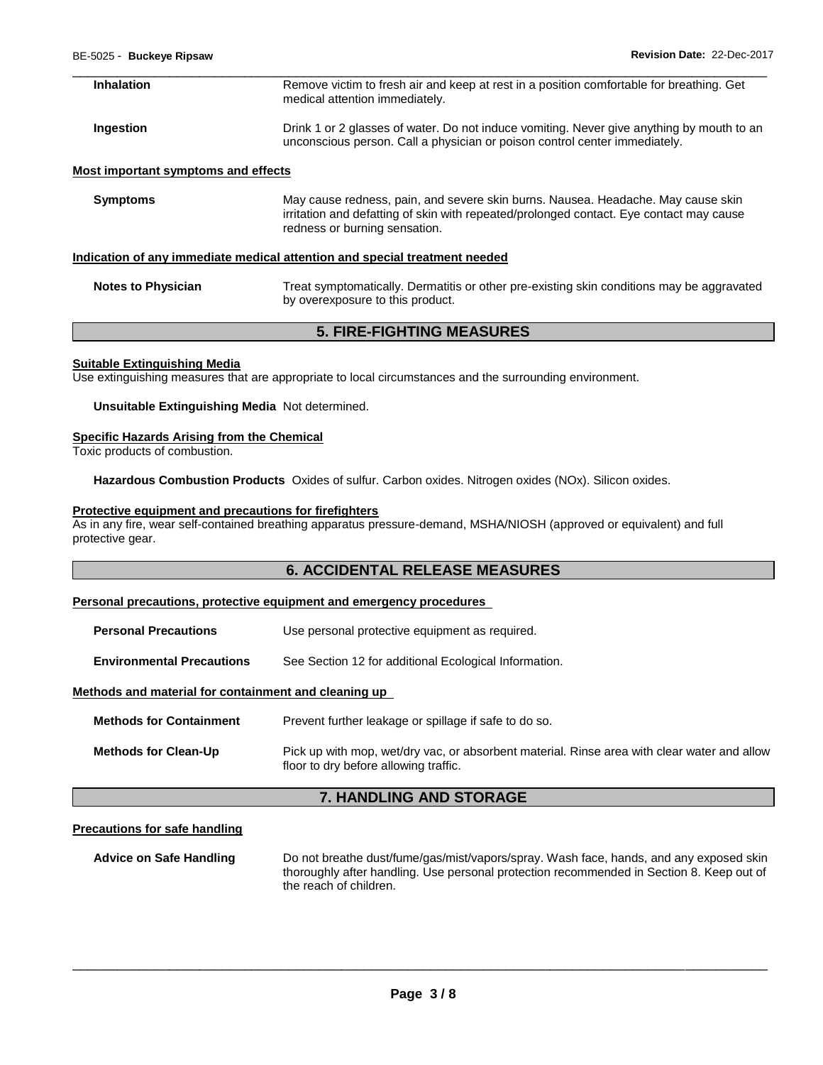| Inhalation                          | Remove victim to fresh air and keep at rest in a position comfortable for breathing. Get<br>medical attention immediately.                                                                                   |
|-------------------------------------|--------------------------------------------------------------------------------------------------------------------------------------------------------------------------------------------------------------|
| Ingestion                           | Drink 1 or 2 glasses of water. Do not induce vomiting. Never give anything by mouth to an<br>unconscious person. Call a physician or poison control center immediately.                                      |
| Most important symptoms and effects |                                                                                                                                                                                                              |
| <b>Symptoms</b>                     | May cause redness, pain, and severe skin burns. Nausea. Headache. May cause skin<br>irritation and defatting of skin with repeated/prolonged contact. Eye contact may cause<br>redness or burning sensation. |
|                                     | Indication of any immediate medical attention and special treatment needed                                                                                                                                   |

**Notes to Physician** Treat symptomatically. Dermatitis or other pre-existing skin conditions may be aggravated by overexposure to this product.

## **5. FIRE-FIGHTING MEASURES**

#### **Suitable Extinguishing Media**

Use extinguishing measures that are appropriate to local circumstances and the surrounding environment.

**Unsuitable Extinguishing Media** Not determined.

#### **Specific Hazards Arising from the Chemical**

Toxic products of combustion.

**Hazardous Combustion Products** Oxides of sulfur. Carbon oxides. Nitrogen oxides (NOx). Silicon oxides.

## **Protective equipment and precautions for firefighters**

As in any fire, wear self-contained breathing apparatus pressure-demand, MSHA/NIOSH (approved or equivalent) and full protective gear.

## **6. ACCIDENTAL RELEASE MEASURES**

## **Personal precautions, protective equipment and emergency procedures**

**Personal Precautions Use personal protective equipment as required.** 

**Environmental Precautions** See Section 12 for additional Ecological Information.

#### **Methods and material for containment and cleaning up**

**Methods for Containment** Prevent further leakage or spillage if safe to do so. **Methods for Clean-Up** Pick up with mop, wet/dry vac, or absorbent material. Rinse area with clear water and allow floor to dry before allowing traffic.

#### **7. HANDLING AND STORAGE**

#### **Precautions for safe handling**

**Advice on Safe Handling** Do not breathe dust/fume/gas/mist/vapors/spray. Wash face, hands, and any exposed skin thoroughly after handling. Use personal protection recommended in Section 8. Keep out of the reach of children.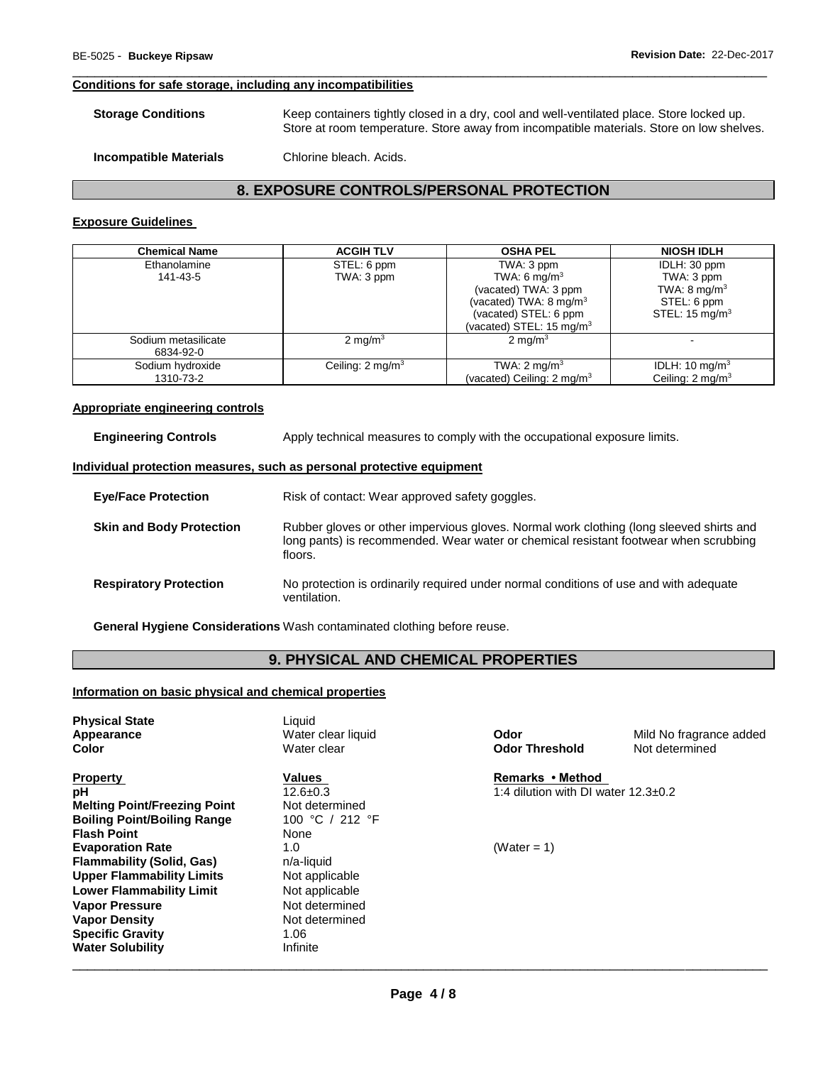#### **Conditions for safe storage, including any incompatibilities**

| <b>Storage Conditions</b>     | Keep containers tightly closed in a dry, cool and well-ventilated place. Store locked up.<br>Store at room temperature. Store away from incompatible materials. Store on low shelves. |  |
|-------------------------------|---------------------------------------------------------------------------------------------------------------------------------------------------------------------------------------|--|
| <b>Incompatible Materials</b> | Chlorine bleach. Acids.                                                                                                                                                               |  |

\_\_\_\_\_\_\_\_\_\_\_\_\_\_\_\_\_\_\_\_\_\_\_\_\_\_\_\_\_\_\_\_\_\_\_\_\_\_\_\_\_\_\_\_\_\_\_\_\_\_\_\_\_\_\_\_\_\_\_\_\_\_\_\_\_\_\_\_\_\_\_\_\_\_\_\_\_\_\_\_\_\_\_\_\_\_\_\_\_\_\_\_\_

## **8. EXPOSURE CONTROLS/PERSONAL PROTECTION**

# **Exposure Guidelines**

| <b>Chemical Name</b> | <b>ACGIH TLV</b>            | <b>OSHA PEL</b>                       | <b>NIOSH IDLH</b>           |
|----------------------|-----------------------------|---------------------------------------|-----------------------------|
| Ethanolamine         | STEL: 6 ppm                 | TWA: 3 ppm                            | IDLH: 30 ppm                |
| 141-43-5             | TWA: 3 ppm                  | TWA: 6 mg/m <sup>3</sup>              | TWA: 3 ppm                  |
|                      |                             | (vacated) TWA: 3 ppm                  | TWA: $8 \text{ mg/m}^3$     |
|                      |                             | (vacated) TWA: $8 \text{ mg/m}^3$     | STEL: 6 ppm                 |
|                      |                             | (vacated) STEL: 6 ppm                 | STEL: $15 \text{ mg/m}^3$   |
|                      |                             | (vacated) STEL: 15 mg/m <sup>3</sup>  |                             |
| Sodium metasilicate  | 2 mg/ $m3$                  | $2 \text{ mg/m}^3$                    |                             |
| 6834-92-0            |                             |                                       |                             |
| Sodium hydroxide     | Ceiling: $2 \text{ mg/m}^3$ | TWA: $2 \text{ mg/m}^3$               | IDLH: 10 mg/m <sup>3</sup>  |
| 1310-73-2            |                             | (vacated) Ceiling: $2 \text{ mg/m}^3$ | Ceiling: $2 \text{ mq/m}^3$ |

## **Appropriate engineering controls**

**Engineering Controls Apply technical measures to comply with the occupational exposure limits.** 

#### **Individual protection measures, such as personal protective equipment**

| <b>Eye/Face Protection</b>      | Risk of contact: Wear approved safety goggles.                                                                                                                                             |
|---------------------------------|--------------------------------------------------------------------------------------------------------------------------------------------------------------------------------------------|
| <b>Skin and Body Protection</b> | Rubber gloves or other impervious gloves. Normal work clothing (long sleeved shirts and<br>long pants) is recommended. Wear water or chemical resistant footwear when scrubbing<br>floors. |
| <b>Respiratory Protection</b>   | No protection is ordinarily required under normal conditions of use and with adequate<br>ventilation.                                                                                      |

**General Hygiene Considerations** Wash contaminated clothing before reuse.

# **9. PHYSICAL AND CHEMICAL PROPERTIES**

## **Information on basic physical and chemical properties**

| <b>Physical State</b><br>Appearance<br>Color | Liauid<br>Water clear liquid<br>Water clear | Odor<br><b>Odor Threshold</b>           | Mild No fragrance added<br>Not determined |
|----------------------------------------------|---------------------------------------------|-----------------------------------------|-------------------------------------------|
| <b>Property</b>                              | Values                                      | Remarks • Method                        |                                           |
| рH                                           | $12.6 \pm 0.3$                              | 1:4 dilution with DI water $12.3\pm0.2$ |                                           |
| <b>Melting Point/Freezing Point</b>          | Not determined                              |                                         |                                           |
| <b>Boiling Point/Boiling Range</b>           | 100 °C / 212 °F                             |                                         |                                           |
| <b>Flash Point</b>                           | None                                        |                                         |                                           |
| <b>Evaporation Rate</b>                      | 1.0                                         | (Water = 1)                             |                                           |
| <b>Flammability (Solid, Gas)</b>             | n/a-liquid                                  |                                         |                                           |
| <b>Upper Flammability Limits</b>             | Not applicable                              |                                         |                                           |
| <b>Lower Flammability Limit</b>              | Not applicable                              |                                         |                                           |
| <b>Vapor Pressure</b>                        | Not determined                              |                                         |                                           |
| <b>Vapor Density</b>                         | Not determined                              |                                         |                                           |
| <b>Specific Gravity</b>                      | 1.06                                        |                                         |                                           |
| <b>Water Solubility</b>                      | Infinite                                    |                                         |                                           |
|                                              |                                             |                                         |                                           |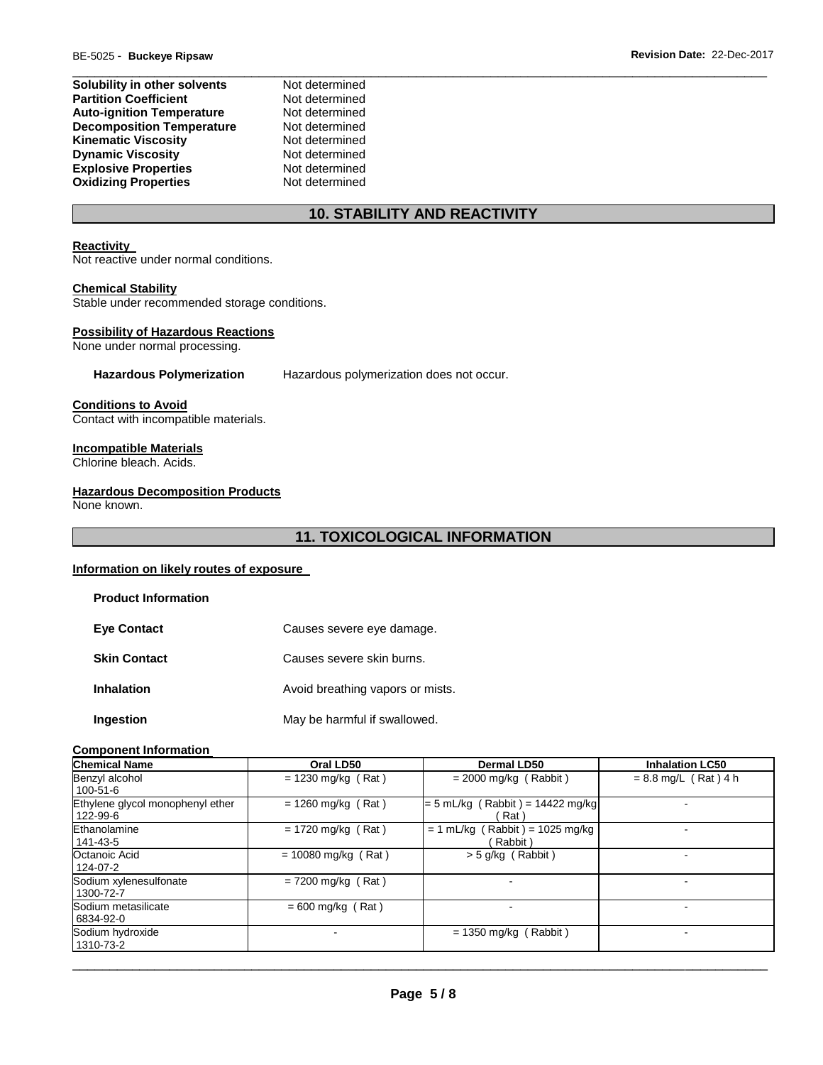| Solubility in other solvents     | Not determined |
|----------------------------------|----------------|
| <b>Partition Coefficient</b>     | Not determined |
| <b>Auto-ignition Temperature</b> | Not determined |
| <b>Decomposition Temperature</b> | Not determined |
| <b>Kinematic Viscosity</b>       | Not determined |
| <b>Dynamic Viscosity</b>         | Not determined |
| <b>Explosive Properties</b>      | Not determined |
| <b>Oxidizing Properties</b>      | Not determined |

# **10. STABILITY AND REACTIVITY**

#### **Reactivity**

Not reactive under normal conditions.

## **Chemical Stability**

Stable under recommended storage conditions.

## **Possibility of Hazardous Reactions**

None under normal processing.

**Hazardous Polymerization** Hazardous polymerization does not occur.

**Conditions to Avoid**

Contact with incompatible materials.

## **Incompatible Materials**

Chlorine bleach. Acids.

## **Hazardous Decomposition Products**

None known.

# **11. TOXICOLOGICAL INFORMATION**

## **Information on likely routes of exposure**

| <b>Product Information</b> |                                  |
|----------------------------|----------------------------------|
| <b>Eye Contact</b>         | Causes severe eye damage.        |
| <b>Skin Contact</b>        | Causes severe skin burns.        |
| <b>Inhalation</b>          | Avoid breathing vapors or mists. |
| Ingestion                  | May be harmful if swallowed.     |

#### **Component Information**

| <b>Chemical Name</b>                         | Oral LD50             | Dermal LD50                                  | <b>Inhalation LC50</b> |
|----------------------------------------------|-----------------------|----------------------------------------------|------------------------|
| Benzyl alcohol<br>100-51-6                   | $= 1230$ mg/kg (Rat)  | $= 2000$ mg/kg (Rabbit)                      | $= 8.8$ mg/L (Rat) 4 h |
| Ethylene glycol monophenyl ether<br>122-99-6 | $= 1260$ mg/kg (Rat)  | $= 5$ mL/kg (Rabbit) = 14422 mg/kg<br>Rat`   |                        |
| Ethanolamine<br>141-43-5                     | $= 1720$ mg/kg (Rat)  | $= 1$ mL/kg (Rabbit) = 1025 mg/kg<br>Rabbit) |                        |
| Octanoic Acid<br>124-07-2                    | $= 10080$ mg/kg (Rat) | $>$ 5 g/kg (Rabbit)                          |                        |
| Sodium xylenesulfonate<br>1300-72-7          | $= 7200$ mg/kg (Rat)  |                                              |                        |
| Sodium metasilicate<br>6834-92-0             | $= 600$ mg/kg (Rat)   |                                              |                        |
| Sodium hydroxide<br>1310-73-2                |                       | $= 1350$ mg/kg (Rabbit)                      |                        |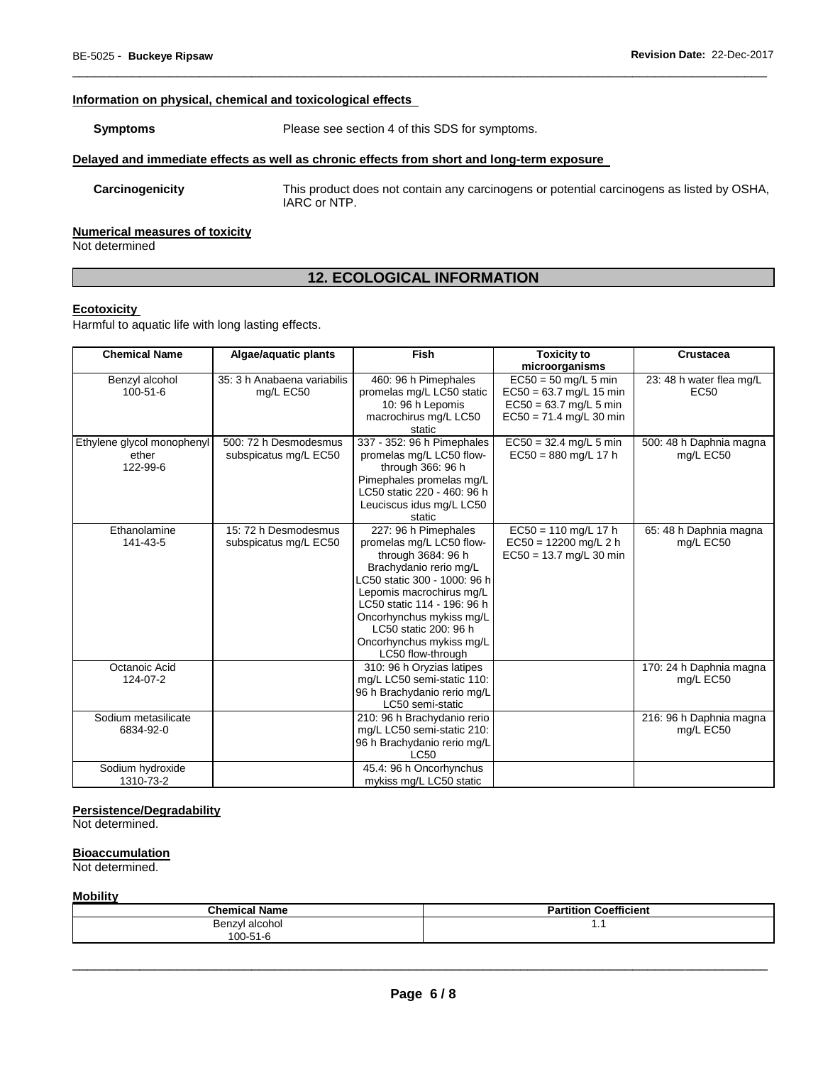## **Information on physical, chemical and toxicological effects**

**Symptoms** Please see section 4 of this SDS for symptoms.

#### **Delayed and immediate effects as well as chronic effects from short and long-term exposure**

**Carcinogenicity** This product does not contain any carcinogens or potential carcinogens as listed by OSHA, IARC or NTP.

## **Numerical measures of toxicity**

Not determined

# **12. ECOLOGICAL INFORMATION**

\_\_\_\_\_\_\_\_\_\_\_\_\_\_\_\_\_\_\_\_\_\_\_\_\_\_\_\_\_\_\_\_\_\_\_\_\_\_\_\_\_\_\_\_\_\_\_\_\_\_\_\_\_\_\_\_\_\_\_\_\_\_\_\_\_\_\_\_\_\_\_\_\_\_\_\_\_\_\_\_\_\_\_\_\_\_\_\_\_\_\_\_\_

#### **Ecotoxicity**

Harmful to aquatic life with long lasting effects.

| <b>Chemical Name</b>                            | Algae/aquatic plants                           | Fish                                                                                                                                                                                                                                                                                              | <b>Toxicity to</b>                                                                                           | <b>Crustacea</b>                             |
|-------------------------------------------------|------------------------------------------------|---------------------------------------------------------------------------------------------------------------------------------------------------------------------------------------------------------------------------------------------------------------------------------------------------|--------------------------------------------------------------------------------------------------------------|----------------------------------------------|
|                                                 |                                                |                                                                                                                                                                                                                                                                                                   | microorganisms                                                                                               |                                              |
| Benzyl alcohol<br>100-51-6                      | 35: 3 h Anabaena variabilis<br>mg/L EC50       | 460: 96 h Pimephales<br>promelas mg/L LC50 static<br>10: 96 h Lepomis<br>macrochirus mg/L LC50<br>static                                                                                                                                                                                          | $EC50 = 50$ mg/L 5 min<br>$EC50 = 63.7$ mg/L 15 min<br>$EC50 = 63.7$ mg/L 5 min<br>$EC50 = 71.4$ mg/L 30 min | 23: 48 h water flea mg/L<br>EC <sub>50</sub> |
| Ethylene glycol monophenyl<br>ether<br>122-99-6 | 500: 72 h Desmodesmus<br>subspicatus mg/L EC50 | 337 - 352: 96 h Pimephales<br>promelas mg/L LC50 flow-<br>through 366: 96 h<br>Pimephales promelas mg/L<br>LC50 static 220 - 460: 96 h<br>Leuciscus idus mg/L LC50<br>static                                                                                                                      | $EC50 = 32.4$ mg/L 5 min<br>$EC50 = 880$ mg/L 17 h                                                           | 500: 48 h Daphnia magna<br>mg/L EC50         |
| Ethanolamine<br>141-43-5                        | 15: 72 h Desmodesmus<br>subspicatus mg/L EC50  | 227: 96 h Pimephales<br>promelas mg/L LC50 flow-<br>through 3684: 96 h<br>Brachydanio rerio mg/L<br>LC50 static 300 - 1000: 96 h<br>Lepomis macrochirus mg/L<br>LC50 static 114 - 196: 96 h<br>Oncorhynchus mykiss mg/L<br>LC50 static 200: 96 h<br>Oncorhynchus mykiss mg/L<br>LC50 flow-through | $EC50 = 110$ mg/L 17 h<br>$EC50 = 12200$ mg/L 2 h<br>$EC50 = 13.7$ mg/L 30 min                               | 65: 48 h Daphnia magna<br>mg/L EC50          |
| Octanoic Acid<br>124-07-2                       |                                                | 310: 96 h Oryzias latipes<br>mg/L LC50 semi-static 110:<br>96 h Brachydanio rerio mg/L<br>LC50 semi-static                                                                                                                                                                                        |                                                                                                              | 170: 24 h Daphnia magna<br>mg/L EC50         |
| Sodium metasilicate<br>6834-92-0                |                                                | 210: 96 h Brachydanio rerio<br>mg/L LC50 semi-static 210:<br>96 h Brachydanio rerio mg/L<br><b>LC50</b>                                                                                                                                                                                           |                                                                                                              | 216: 96 h Daphnia magna<br>mg/L EC50         |
| Sodium hydroxide<br>1310-73-2                   |                                                | 45.4: 96 h Oncorhynchus<br>mykiss mg/L LC50 static                                                                                                                                                                                                                                                |                                                                                                              |                                              |

## **Persistence/Degradability**

Not determined.

#### **Bioaccumulation**

Not determined.

## **Mobility**

| <b>Chemical Name</b> | <b>Coefficient</b><br>$  -$<br>Partition |
|----------------------|------------------------------------------|
| alcohol:<br>Benzvl   | .                                        |
| 100-51-6             |                                          |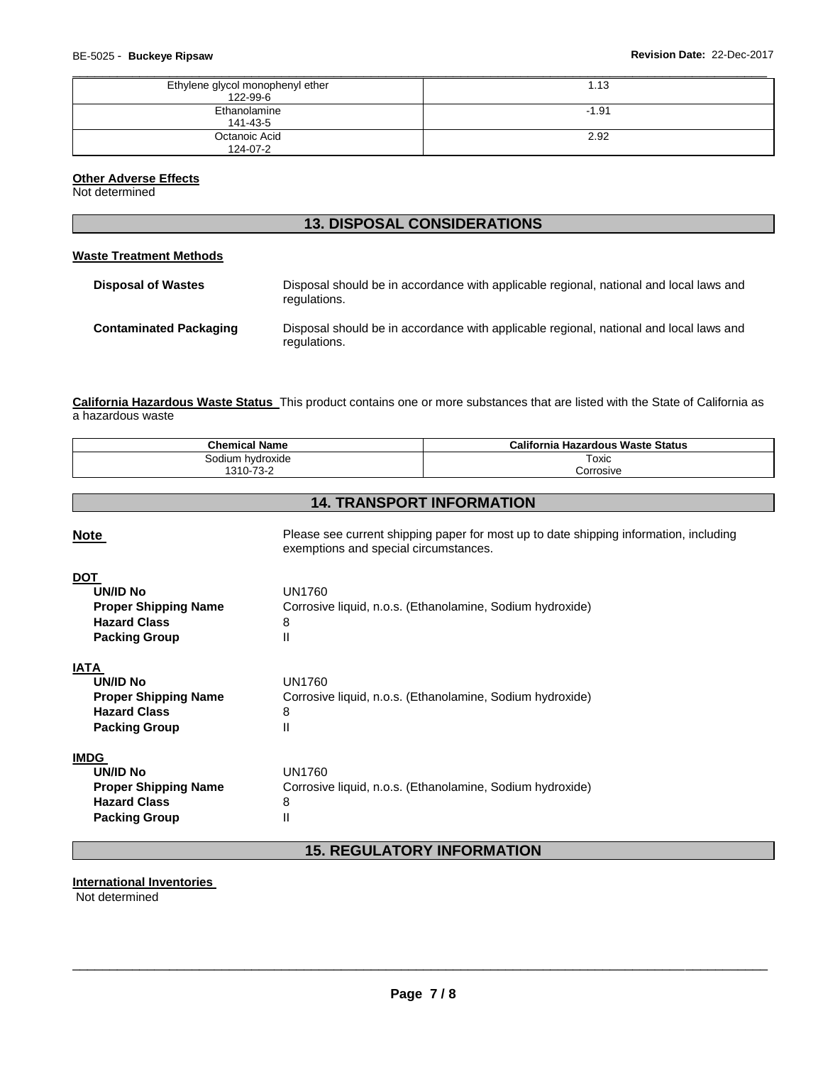| Ethylene glycol monophenyl ether<br>122-99-6 | 1.13    |
|----------------------------------------------|---------|
| Ethanolamine<br>141-43-5                     | $-1.91$ |
| Octanoic Acid<br>124-07-2                    | 2.92    |

## **Other Adverse Effects**

Not determined

| <b>13. DISPOSAL CONSIDERATIONS</b> |                                                                                                        |  |  |
|------------------------------------|--------------------------------------------------------------------------------------------------------|--|--|
| Waste Treatment Methods            |                                                                                                        |  |  |
| <b>Disposal of Wastes</b>          | Disposal should be in accordance with applicable regional, national and local laws and<br>regulations. |  |  |
| <b>Contaminated Packaging</b>      | Disposal should be in accordance with applicable regional, national and local laws and<br>regulations. |  |  |

**California Hazardous Waste Status** This product contains one or more substances that are listed with the State of California as a hazardous waste

| <b>Chemical Name</b>                                                                                         |                                                                                                                                | <b>California Hazardous Waste Status</b>                  |  |
|--------------------------------------------------------------------------------------------------------------|--------------------------------------------------------------------------------------------------------------------------------|-----------------------------------------------------------|--|
| Sodium hydroxide                                                                                             |                                                                                                                                | Toxic                                                     |  |
| 1310-73-2                                                                                                    |                                                                                                                                | Corrosive                                                 |  |
|                                                                                                              |                                                                                                                                |                                                           |  |
|                                                                                                              |                                                                                                                                | <b>14. TRANSPORT INFORMATION</b>                          |  |
| <b>Note</b>                                                                                                  | Please see current shipping paper for most up to date shipping information, including<br>exemptions and special circumstances. |                                                           |  |
| <b>DOT</b><br><b>UN/ID No</b><br><b>Proper Shipping Name</b><br><b>Hazard Class</b><br><b>Packing Group</b>  | <b>UN1760</b><br>8<br>$\mathsf{II}$                                                                                            | Corrosive liquid, n.o.s. (Ethanolamine, Sodium hydroxide) |  |
| <b>IATA</b><br><b>UN/ID No</b><br><b>Proper Shipping Name</b><br><b>Hazard Class</b><br><b>Packing Group</b> | <b>UN1760</b><br>8<br>$\mathsf{I}$                                                                                             | Corrosive liquid, n.o.s. (Ethanolamine, Sodium hydroxide) |  |
| <b>IMDG</b><br><b>UN/ID No</b><br><b>Proper Shipping Name</b><br><b>Hazard Class</b><br><b>Packing Group</b> | <b>UN1760</b><br>8<br>Ш                                                                                                        | Corrosive liquid, n.o.s. (Ethanolamine, Sodium hydroxide) |  |

# **15. REGULATORY INFORMATION**

#### **International Inventories**

Not determined